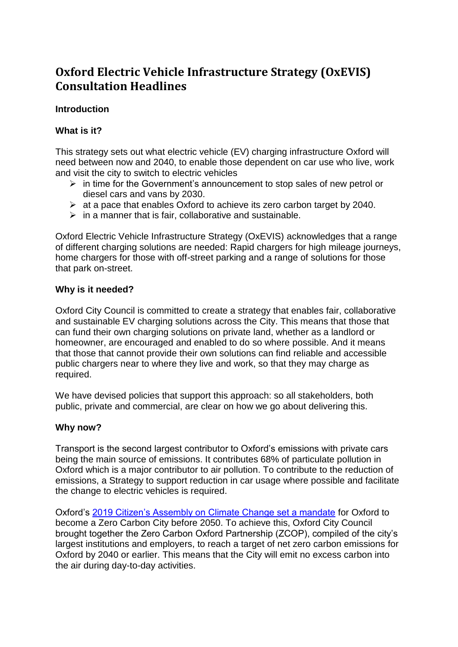# **Oxford Electric Vehicle Infrastructure Strategy (OxEVIS) Consultation Headlines**

### **Introduction**

### **What is it?**

This strategy sets out what electric vehicle (EV) charging infrastructure Oxford will need between now and 2040, to enable those dependent on car use who live, work and visit the city to switch to electric vehicles

- $\triangleright$  in time for the Government's announcement to stop sales of new petrol or diesel cars and vans by 2030.
- $\geq$  at a pace that enables Oxford to achieve its zero carbon target by 2040.
- $\triangleright$  in a manner that is fair, collaborative and sustainable.

Oxford Electric Vehicle Infrastructure Strategy (OxEVIS) acknowledges that a range of different charging solutions are needed: Rapid chargers for high mileage journeys, home chargers for those with off-street parking and a range of solutions for those that park on-street.

### **Why is it needed?**

Oxford City Council is committed to create a strategy that enables fair, collaborative and sustainable EV charging solutions across the City. This means that those that can fund their own charging solutions on private land, whether as a landlord or homeowner, are encouraged and enabled to do so where possible. And it means that those that cannot provide their own solutions can find reliable and accessible public chargers near to where they live and work, so that they may charge as required.

We have devised policies that support this approach: so all stakeholders, both public, private and commercial, are clear on how we go about delivering this.

# **Why now?**

Transport is the second largest contributor to Oxford's emissions with private cars being the main source of emissions. It contributes 68% of particulate pollution in Oxford which is a major contributor to air pollution. To contribute to the reduction of emissions, a Strategy to support reduction in car usage where possible and facilitate the change to electric vehicles is required.

Oxford's [2019 Citizen's Assembly on Climate Change set a mandate](https://www.oxford.gov.uk/info/20011/environment/1343/oxford_citizens_assembly_on_climate_change/6) for Oxford to become a Zero Carbon City before 2050. To achieve this, Oxford City Council brought together the Zero Carbon Oxford Partnership (ZCOP), compiled of the city's largest institutions and employers, to reach a target of net zero carbon emissions for Oxford by 2040 or earlier. This means that the City will emit no excess carbon into the air during day-to-day activities.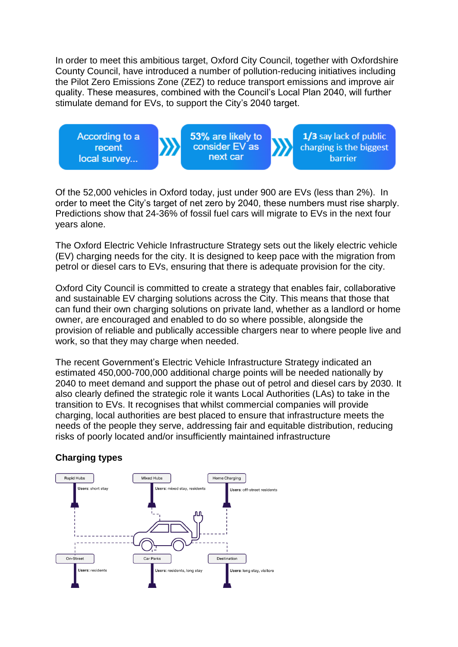In order to meet this ambitious target, Oxford City Council, together with Oxfordshire County Council, have introduced a number of pollution-reducing initiatives including the Pilot Zero Emissions Zone (ZEZ) to reduce transport emissions and improve air quality. These measures, combined with the Council's Local Plan 2040, will further stimulate demand for EVs, to support the City's 2040 target.

According to a recent local survey...

53% are likely to consider EV as next car

1/3 say lack of public charging is the biggest **barrier** 

Of the 52,000 vehicles in Oxford today, just under 900 are EVs (less than 2%). In order to meet the City's target of net zero by 2040, these numbers must rise sharply. Predictions show that 24-36% of fossil fuel cars will migrate to EVs in the next four years alone.

The Oxford Electric Vehicle Infrastructure Strategy sets out the likely electric vehicle (EV) charging needs for the city. It is designed to keep pace with the migration from petrol or diesel cars to EVs, ensuring that there is adequate provision for the city.

Oxford City Council is committed to create a strategy that enables fair, collaborative and sustainable EV charging solutions across the City. This means that those that can fund their own charging solutions on private land, whether as a landlord or home owner, are encouraged and enabled to do so where possible, alongside the provision of reliable and publically accessible chargers near to where people live and work, so that they may charge when needed.

The recent Government's Electric Vehicle Infrastructure Strategy indicated an estimated 450,000-700,000 additional charge points will be needed nationally by 2040 to meet demand and support the phase out of petrol and diesel cars by 2030. It also clearly defined the strategic role it wants Local Authorities (LAs) to take in the transition to EVs. It recognises that whilst commercial companies will provide charging, local authorities are best placed to ensure that infrastructure meets the needs of the people they serve, addressing fair and equitable distribution, reducing risks of poorly located and/or insufficiently maintained infrastructure

# **Charging types**

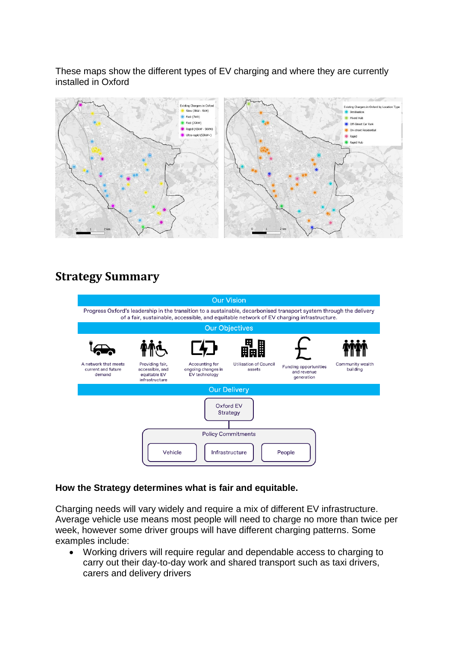These maps show the different types of EV charging and where they are currently installed in Oxford



# **Strategy Summary**



### **How the Strategy determines what is fair and equitable.**

Charging needs will vary widely and require a mix of different EV infrastructure. Average vehicle use means most people will need to charge no more than twice per week, however some driver groups will have different charging patterns. Some examples include:

 Working drivers will require regular and dependable access to charging to carry out their day-to-day work and shared transport such as taxi drivers, carers and delivery drivers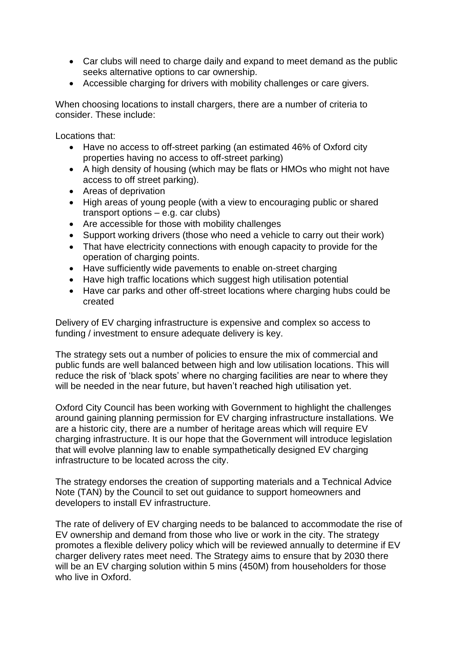- Car clubs will need to charge daily and expand to meet demand as the public seeks alternative options to car ownership.
- Accessible charging for drivers with mobility challenges or care givers.

When choosing locations to install chargers, there are a number of criteria to consider. These include:

Locations that:

- Have no access to off-street parking (an estimated 46% of Oxford city properties having no access to off-street parking)
- A high density of housing (which may be flats or HMOs who might not have access to off street parking).
- Areas of deprivation
- High areas of young people (with a view to encouraging public or shared transport options – e.g. car clubs)
- Are accessible for those with mobility challenges
- Support working drivers (those who need a vehicle to carry out their work)
- That have electricity connections with enough capacity to provide for the operation of charging points.
- Have sufficiently wide pavements to enable on-street charging
- Have high traffic locations which suggest high utilisation potential
- Have car parks and other off-street locations where charging hubs could be created

Delivery of EV charging infrastructure is expensive and complex so access to funding / investment to ensure adequate delivery is key.

The strategy sets out a number of policies to ensure the mix of commercial and public funds are well balanced between high and low utilisation locations. This will reduce the risk of 'black spots' where no charging facilities are near to where they will be needed in the near future, but haven't reached high utilisation yet.

Oxford City Council has been working with Government to highlight the challenges around gaining planning permission for EV charging infrastructure installations. We are a historic city, there are a number of heritage areas which will require EV charging infrastructure. It is our hope that the Government will introduce legislation that will evolve planning law to enable sympathetically designed EV charging infrastructure to be located across the city.

The strategy endorses the creation of supporting materials and a Technical Advice Note (TAN) by the Council to set out guidance to support homeowners and developers to install EV infrastructure.

The rate of delivery of EV charging needs to be balanced to accommodate the rise of EV ownership and demand from those who live or work in the city. The strategy promotes a flexible delivery policy which will be reviewed annually to determine if EV charger delivery rates meet need. The Strategy aims to ensure that by 2030 there will be an EV charging solution within 5 mins (450M) from householders for those who live in Oxford.